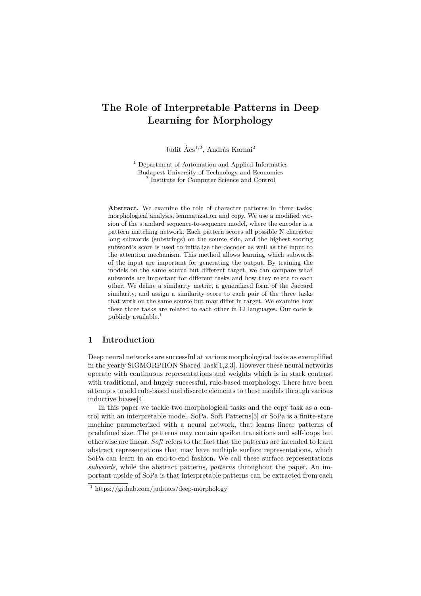# **The Role of Interpretable Patterns in Deep Learning for Morphology**

Judit Ács<sup>1,2</sup>, András Kornai<sup>2</sup>

<sup>1</sup> Department of Automation and Applied Informatics Budapest University of Technology and Economics 2 Institute for Computer Science and Control

**Abstract.** We examine the role of character patterns in three tasks: morphological analysis, lemmatization and copy. We use a modified version of the standard sequence-to-sequence model, where the encoder is a pattern matching network. Each pattern scores all possible N character long subwords (substrings) on the source side, and the highest scoring subword's score is used to initialize the decoder as well as the input to the attention mechanism. This method allows learning which subwords of the input are important for generating the output. By training the models on the same source but different target, we can compare what subwords are important for different tasks and how they relate to each other. We define a similarity metric, a generalized form of the Jaccard similarity, and assign a similarity score to each pair of the three tasks that work on the same source but may differ in target. We examine how these three tasks are related to each other in 12 languages. Our code is publicly available.<sup>1</sup>

## **1 Introduction**

Deep neural networks are successful at various morphological tasks as exemplified in the yearly SIGMORPHON Shared Task[1,2,3]. However these neural networks operate with continuous representations and weights which is in stark contrast with traditional, and hugely successful, rule-based morphology. There have been attempts to add rule-based and discrete elements to these models through various inductive biases[4].

In this paper we tackle two morphological tasks and the copy task as a control with an interpretable model, SoPa. Soft Patterns[5] or SoPa is a finite-state machine parameterized with a neural network, that learns linear patterns of predefined size. The patterns may contain epsilon transitions and self-loops but otherwise are linear. *Soft* refers to the fact that the patterns are intended to learn abstract representations that may have multiple surface representations, which SoPa can learn in an end-to-end fashion. We call these surface representations *subwords*, while the abstract patterns, *patterns* throughout the paper. An important upside of SoPa is that interpretable patterns can be extracted from each

<sup>1</sup> https://github.com/juditacs/deep-morphology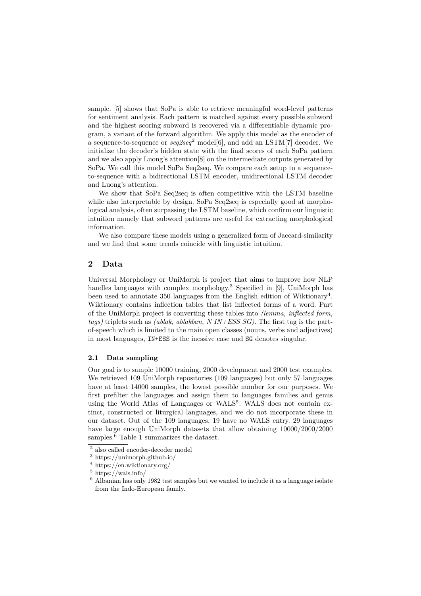sample. [5] shows that SoPa is able to retrieve meaningful word-level patterns for sentiment analysis. Each pattern is matched against every possible subword and the highest scoring subword is recovered via a differentiable dynamic program, a variant of the forward algorithm. We apply this model as the encoder of a sequence-to-sequence or *seq2seq*<sup>2</sup> model[6], and add an LSTM[7] decoder. We initialize the decoder's hidden state with the final scores of each SoPa pattern and we also apply Luong's attention[8] on the intermediate outputs generated by SoPa. We call this model SoPa Seq2seq. We compare each setup to a sequenceto-sequence with a bidirectional LSTM encoder, unidirectional LSTM decoder and Luong's attention.

We show that SoPa Seq2seq is often competitive with the LSTM baseline while also interpretable by design. SoPa Seq2seq is especially good at morphological analysis, often surpassing the LSTM baseline, which confirm our linguistic intuition namely that subword patterns are useful for extracting morphological information.

We also compare these models using a generalized form of Jaccard-similarity and we find that some trends coincide with linguistic intuition.

## **2 Data**

Universal Morphology or UniMorph is project that aims to improve how NLP handles languages with complex morphology.<sup>3</sup> Specified in [9], UniMorph has been used to annotate 350 languages from the English edition of Wiktionary<sup>4</sup>. Wiktionary contains inflection tables that list inflected forms of a word. Part of the UniMorph project is converting these tables into *(lemma, inflected form, tags)* triplets such as *(ablak, ablakban, N IN+ESS SG)*. The first tag is the partof-speech which is limited to the main open classes (nouns, verbs and adjectives) in most languages, IN+ESS is the inessive case and SG denotes singular.

#### **2.1 Data sampling**

Our goal is to sample 10000 training, 2000 development and 2000 test examples. We retrieved 109 UniMorph repositories (109 languages) but only 57 languages have at least 14000 samples, the lowest possible number for our purposes. We first prefilter the languages and assign them to languages families and genus using the World Atlas of Languages or WALS<sup>5</sup>. WALS does not contain extinct, constructed or liturgical languages, and we do not incorporate these in our dataset. Out of the 109 languages, 19 have no WALS entry. 29 languages have large enough UniMorph datasets that allow obtaining 10000/2000/2000 samples.<sup>6</sup> Table 1 summarizes the dataset.

<sup>2</sup> also called encoder-decoder model

 $^3$ https://unimorph.github.io/

<sup>4</sup> https://en.wiktionary.org/

 $5 \text{ https://wals.info/}$ 

 $6$  Albanian has only 1982 test samples but we wanted to include it as a language isolate from the Indo-European family.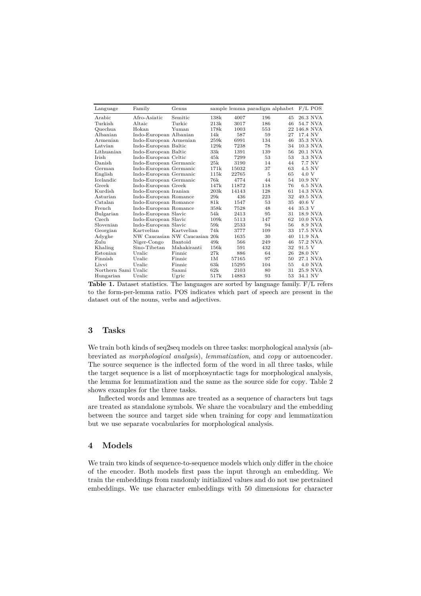| Language             | Family                 | Genus                         |       |       | sample lemma paradigm alphabet |    | $F/L$ POS       |
|----------------------|------------------------|-------------------------------|-------|-------|--------------------------------|----|-----------------|
| Arabic               | Afro-Asiatic           | Semitic                       | 138k  | 4007  | 196                            | 45 | 26.3 NVA        |
| Turkish              | Altaic                 | Turkic                        | 21.3k | 3017  | 186                            | 46 | 54.7 NVA        |
| Quechua              | Hokan                  | Yuman                         | 178k  | 1003  | 553                            |    | 22 146.8 NVA    |
| Albanian             | Indo-European Albanian |                               | 14k   | 587   | 59                             | 27 | 17.4 NV         |
| Armenian             | Indo-European Armenian |                               | 259k  | 6991  | 134                            | 46 | 35.3 NVA        |
| Latvian              | Indo-European Baltic   |                               | 129k  | 7238  | 78                             | 34 | 10.3 NVA        |
| Lithuanian           | Indo-European Baltic   |                               | 33k   | 1391  | 139                            | 56 | 20.1 NVA        |
| <b>Irish</b>         | Indo-European Celtic   |                               | 45k   | 7299  | 53                             | 53 | 3.3 NVA         |
| Danish               | Indo-European Germanic |                               | 25k   | 3190  | 14                             | 44 | 7.7 NV          |
| German               | Indo-European Germanic |                               | 171k  | 15032 | 37                             | 63 | 4.5 NV          |
| English              | Indo-European Germanic |                               | 115k  | 22765 | 5                              | 65 | 4.0 V           |
| Icelandic            | Indo-European Germanic |                               | 76k   | 4774  | 44                             | 54 | 10.9 NV         |
| Greek                | Indo-European Greek    |                               | 147k  | 11872 | 118                            | 76 | 6.5 NVA         |
| Kurdish              | Indo-European Iranian  |                               | 203k  | 14143 | 128                            | 61 | 14.3 NVA        |
| Asturian             | Indo-European Romance  |                               | 29k   | 436   | 223                            | 32 | 49.5 NVA        |
| Catalan              | Indo-European Romance  |                               | 81k   | 1547  | 53                             | 35 | $40.6\text{ V}$ |
| French               | Indo-European Romance  |                               | 358k  | 7528  | 48                             | 44 | 35.3 V          |
| Bulgarian            | Indo-European Slavic   |                               | 54k   | 2413  | 95                             | 31 | 18.9 NVA        |
| Czech                | Indo-European Slavic   |                               | 109k  | 5113  | 147                            | 62 | 10.0 NVA        |
| Slovenian            | Indo-European Slavic   |                               | 59k   | 2533  | 94                             | 56 | 8.9 NVA         |
| Georgian             | Kartvelian             | Kartvelian                    | 74k   | 3777  | 109                            | 33 | 17.5 NVA        |
| Adyghe               |                        | NW Caucasian NW Caucasian 20k |       | 1635  | 30                             | 40 | 11.9 NA         |
| Zulu                 | Niger-Congo            | Bantoid                       | 49k   | 566   | 249                            | 46 | 57.2 NVA        |
| Khaling              | Sino-Tibetan           | Mahakiranti                   | 156k  | 591   | 432                            | 32 | 91.5 V          |
| Estonian             | Uralic                 | Finnic                        | 27k   | 886   | 64                             | 26 | 28.0 NV         |
| Finnish              | Uralic                 | Finnic                        | 1M    | 57165 | 97                             | 50 | 27.1 NVA        |
| Livvi                | Uralic                 | Finnic                        | 63k   | 15295 | 104                            | 55 | <b>4.0 NVA</b>  |
| Northern Sami Uralic |                        | Saami                         | 62k   | 2103  | 80                             | 31 | 25.9 NVA        |
| Hungarian            | Uralic                 | Ugric                         | 517k  | 14883 | 93                             | 53 | 34.1 NV         |

**Table 1.** Dataset statistics. The languages are sorted by language family. F/L refers to the form-per-lemma ratio. POS indicates which part of speech are present in the dataset out of the nouns, verbs and adjectives.

## **3 Tasks**

We train both kinds of seq2seq models on three tasks: morphological analysis (abbreviated as *morphological analysis*), *lemmatization*, and *copy* or autoencoder. The source sequence is the inflected form of the word in all three tasks, while the target sequence is a list of morphosyntactic tags for morphological analysis, the lemma for lemmatization and the same as the source side for copy. Table 2 shows examples for the three tasks.

Inflected words and lemmas are treated as a sequence of characters but tags are treated as standalone symbols. We share the vocabulary and the embedding between the source and target side when training for copy and lemmatization but we use separate vocabularies for morphological analysis.

## **4 Models**

We train two kinds of sequence-to-sequence models which only differ in the choice of the encoder. Both models first pass the input through an embedding. We train the embeddings from randomly initialized values and do not use pretrained embeddings. We use character embeddings with 50 dimensions for character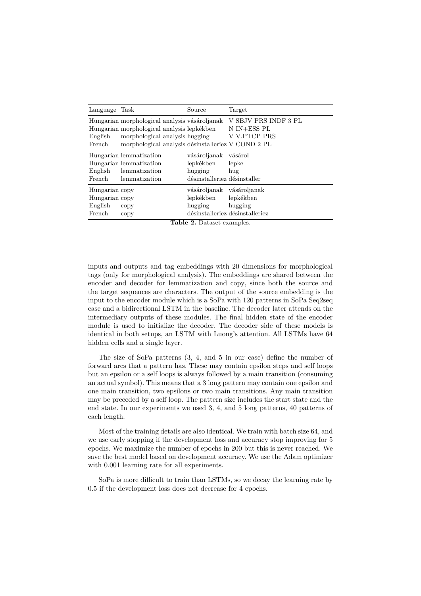| Language                                              | Task                                                                                                                                                                                | Source                                                               | Target                                                  |
|-------------------------------------------------------|-------------------------------------------------------------------------------------------------------------------------------------------------------------------------------------|----------------------------------------------------------------------|---------------------------------------------------------|
| English<br>French                                     | Hungarian morphological analysis vásároljanak<br>Hungarian morphological analysis lepkékben<br>morphological analysis hugging<br>morphological analysis désinstalleriez V COND 2 PL |                                                                      | V SBJV PRS INDF 3 PL<br>N IN+ESS PL<br>V V.PTCP PRS     |
| English<br>French                                     | Hungarian lemmatization<br>Hungarian lemmatization<br>lemmatization<br>lemmatization                                                                                                | vásároljanak<br>lepkékben<br>hugging<br>désinstalleriez désinstaller | vásárol<br>lepke<br>hug                                 |
| Hungarian copy<br>Hungarian copy<br>English<br>French | copy<br>copy                                                                                                                                                                        | vásároljanak vásároljanak<br>lepkékben<br>hugging                    | lepkékben<br>hugging<br>désinstalleriez désinstalleriez |

**Table 2.** Dataset examples.

inputs and outputs and tag embeddings with 20 dimensions for morphological tags (only for morphological analysis). The embeddings are shared between the encoder and decoder for lemmatization and copy, since both the source and the target sequences are characters. The output of the source embedding is the input to the encoder module which is a SoPa with 120 patterns in SoPa Seq2seq case and a bidirectional LSTM in the baseline. The decoder later attends on the intermediary outputs of these modules. The final hidden state of the encoder module is used to initialize the decoder. The decoder side of these models is identical in both setups, an LSTM with Luong's attention. All LSTMs have 64 hidden cells and a single layer.

The size of SoPa patterns (3, 4, and 5 in our case) define the number of forward arcs that a pattern has. These may contain epsilon steps and self loops but an epsilon or a self loops is always followed by a main transition (consuming an actual symbol). This means that a 3 long pattern may contain one epsilon and one main transition, two epsilons or two main transitions. Any main transition may be preceded by a self loop. The pattern size includes the start state and the end state. In our experiments we used 3, 4, and 5 long patterns, 40 patterns of each length.

Most of the training details are also identical. We train with batch size 64, and we use early stopping if the development loss and accuracy stop improving for 5 epochs. We maximize the number of epochs in 200 but this is never reached. We save the best model based on development accuracy. We use the Adam optimizer with 0.001 learning rate for all experiments.

SoPa is more difficult to train than LSTMs, so we decay the learning rate by 0.5 if the development loss does not decrease for 4 epochs.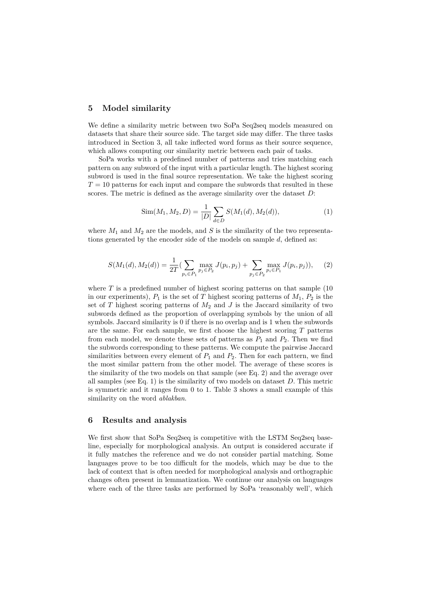## **5 Model similarity**

We define a similarity metric between two SoPa Seq2seq models measured on datasets that share their source side. The target side may differ. The three tasks introduced in Section 3, all take inflected word forms as their source sequence, which allows computing our similarity metric between each pair of tasks.

SoPa works with a predefined number of patterns and tries matching each pattern on any subword of the input with a particular length. The highest scoring subword is used in the final source representation. We take the highest scoring  $T = 10$  patterns for each input and compare the subwords that resulted in these scores. The metric is defined as the average similarity over the dataset *D*:

$$
Sim(M_1, M_2, D) = \frac{1}{|D|} \sum_{d \in D} S(M_1(d), M_2(d)),
$$
\n(1)

where  $M_1$  and  $M_2$  are the models, and  $S$  is the similarity of the two representations generated by the encoder side of the models on sample *d*, defined as:

$$
S(M_1(d), M_2(d)) = \frac{1}{2T} \left( \sum_{p_i \in P_1} \max_{p_j \in P_2} J(p_i, p_j) + \sum_{p_j \in P_2} \max_{p_i \in P_1} J(p_i, p_j) \right), \quad (2)
$$

where  $T$  is a predefined number of highest scoring patterns on that sample  $(10$ in our experiments),  $P_1$  is the set of  $T$  highest scoring patterns of  $M_1$ ,  $P_2$  is the set of  $T$  highest scoring patterns of  $M_2$  and  $J$  is the Jaccard similarity of two subwords defined as the proportion of overlapping symbols by the union of all symbols. Jaccard similarity is 0 if there is no overlap and is 1 when the subwords are the same. For each sample, we first choose the highest scoring *T* patterns from each model, we denote these sets of patterns as  $P_1$  and  $P_2$ . Then we find the subwords corresponding to these patterns. We compute the pairwise Jaccard similarities between every element of  $P_1$  and  $P_2$ . Then for each pattern, we find the most similar pattern from the other model. The average of these scores is the similarity of the two models on that sample (see Eq. 2) and the average over all samples (see Eq. 1) is the similarity of two models on dataset *D*. This metric is symmetric and it ranges from 0 to 1. Table 3 shows a small example of this similarity on the word *ablakban*.

#### **6 Results and analysis**

We first show that SoPa Seq2seq is competitive with the LSTM Seq2seq baseline, especially for morphological analysis. An output is considered accurate if it fully matches the reference and we do not consider partial matching. Some languages prove to be too difficult for the models, which may be due to the lack of context that is often needed for morphological analysis and orthographic changes often present in lemmatization. We continue our analysis on languages where each of the three tasks are performed by SoPa 'reasonably well', which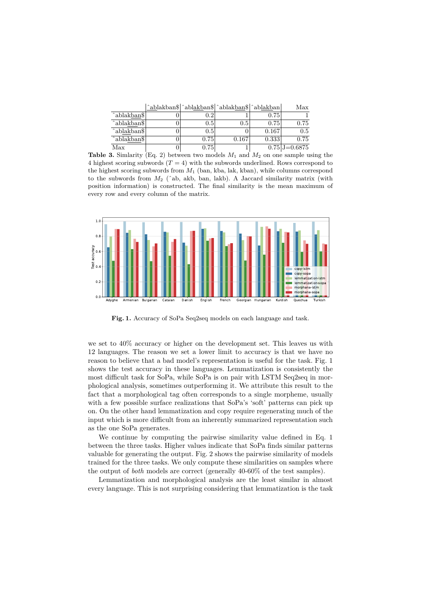$\hat{\mathbf{a}}$ blakban\$  $\hat{\mathbf{a}}$ blakban\$  $\hat{\mathbf{a}}$ blakban $\hat{\mathbf{b}}$  Max

| ^ablakban\$        | $\rm 0.2$ |       | 0.75  |                    |
|--------------------|-----------|-------|-------|--------------------|
| ^ablakban\$        | 0.5       | 0.5   | 0.75  | 0.75               |
| ^ablakban\$        | 0.5       |       | 0.167 | $0.5\,$            |
| $\alpha$ blakban\$ | 0.75      | 0.167 | 0.333 | 0.75               |
| Max                | 0.75      |       |       | $0.75$ J= $0.6875$ |

**Table 3.** Simlarity (Eq. 2) between two models *M*<sup>1</sup> and *M*<sup>2</sup> on one sample using the 4 highest scoring subwords  $(T = 4)$  with the subwords underlined. Rows correspond to the highest scoring subwords from *M*<sup>1</sup> (ban, kba, lak, kban), while columns correspond to the subwords from *M*<sup>2</sup> (ˆab, akb, ban, lakb). A Jaccard similarity matrix (with position information) is constructed. The final similarity is the mean maximum of every row and every column of the matrix.



**Fig. 1.** Accuracy of SoPa Seq2seq models on each language and task.

we set to 40% accuracy or higher on the development set. This leaves us with 12 languages. The reason we set a lower limit to accuracy is that we have no reason to believe that a bad model's representation is useful for the task. Fig. 1 shows the test accuracy in these languages. Lemmatization is consistently the most difficult task for SoPa, while SoPa is on pair with LSTM Seq2seq in morphological analysis, sometimes outperforming it. We attribute this result to the fact that a morphological tag often corresponds to a single morpheme, usually with a few possible surface realizations that SoPa's 'soft' patterns can pick up on. On the other hand lemmatization and copy require regenerating much of the input which is more difficult from an inherently summarized representation such as the one SoPa generates.

We continue by computing the pairwise similarity value defined in Eq. 1 between the three tasks. Higher values indicate that SoPa finds similar patterns valuable for generating the output. Fig. 2 shows the pairwise similarity of models trained for the three tasks. We only compute these similarities on samples where the output of *both* models are correct (generally 40-60% of the test samples).

Lemmatization and morphological analysis are the least similar in almost every language. This is not surprising considering that lemmatization is the task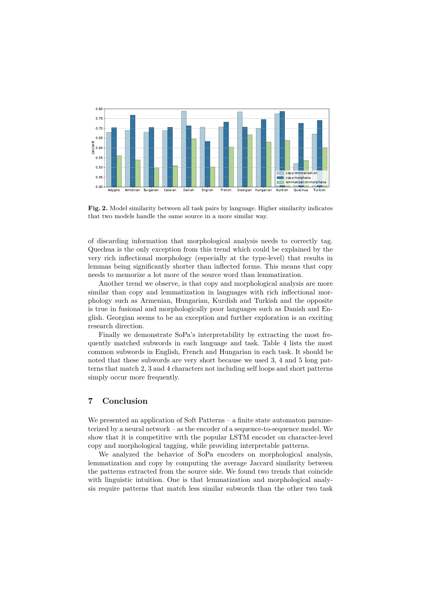

**Fig. 2.** Model similarity between all task pairs by language. Higher similarity indicates that two models handle the same source in a more similar way.

of discarding information that morphological analysis needs to correctly tag. Quechua is the only exception from this trend which could be explained by the very rich inflectional morphology (especially at the type-level) that results in lemmas being significantly shorter than inflected forms. This means that copy needs to memorize a lot more of the source word than lemmatization.

Another trend we observe, is that copy and morphological analysis are more similar than copy and lemmatization in languages with rich inflectional morphology such as Armenian, Hungarian, Kurdish and Turkish and the opposite is true in fusional and morphologically poor languages such as Danish and English. Georgian seems to be an exception and further exploration is an exciting research direction.

Finally we demonstrate SoPa's interpretability by extracting the most frequently matched subwords in each language and task. Table 4 lists the most common subwords in English, French and Hungarian in each task. It should be noted that these subwords are very short because we used 3, 4 and 5 long patterns that match 2, 3 and 4 characters not including self loops and short patterns simply occur more frequently.

## **7 Conclusion**

We presented an application of Soft Patterns – a finite state automaton parameterized by a neural network – as the encoder of a sequence-to-sequence model. We show that it is competitive with the popular LSTM encoder on character-level copy and morphological tagging, while providing interpretable patterns.

We analyzed the behavior of SoPa encoders on morphological analysis, lemmatization and copy by computing the average Jaccard similarity between the patterns extracted from the source side. We found two trends that coincide with linguistic intuition. One is that lemmatization and morphological analysis require patterns that match less similar subwords than the other two task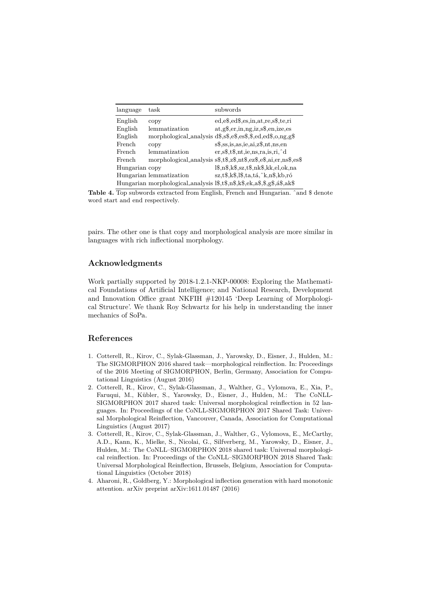| language       | task                    | subwords                                                                                                 |
|----------------|-------------------------|----------------------------------------------------------------------------------------------------------|
| English        | copy                    | ed, e, d, e, s, in, at, re, s, te, ri                                                                    |
| English        | lemmatization           | $at.g.$ ger, in, ng, iz, s\$, en, ize, es                                                                |
| English        |                         | morphological_analysis $d$ \$, $s$ \$, $e$ \$, $e$ \$, $\dot{s}$ , $d$ , $ed$ \$, $o,$ $ng, g$ \$        |
| French         | copy                    | $s$ \$, ss, is, as, ie, ai, $z$ \$, nt, ns, en                                                           |
| French         | lemmatization           | $er, s\$ , $t\$ , $nt$ , $ie, ns, ra$ , $is, ri, \hat{d}$                                                |
| French         |                         | morphological_analysis s\$,t\$,z\$,nt\$,ez\$,e\$,ai,er,ns\$,es\$                                         |
| Hungarian copy |                         | $1\$ , n\, k $\$ , sz, t $\$ , nk $\$ , kk, el, ok, na                                                   |
|                | Hungarian lemmatization | $sz, t\$ \$, k $\$ , l $\$ , ta, tá, ^k, n $\$ , kb, ró                                                  |
|                |                         | Hungarian morphological analysis $1\$ , t $\$ , n $\$ , k $\$ , ek, a $\$ , $\$ , g $\$ , a $\$ , ak $\$ |

**Table 4.** Top subwords extracted from English, French and Hungarian. ˆand \$ denote word start and end respectively.

pairs. The other one is that copy and morphological analysis are more similar in languages with rich inflectional morphology.

## **Acknowledgments**

Work partially supported by 2018-1.2.1-NKP-00008: Exploring the Mathematical Foundations of Artificial Intelligence; and National Research, Development and Innovation Office grant NKFIH #120145 'Deep Learning of Morphological Structure'. We thank Roy Schwartz for his help in understanding the inner mechanics of SoPa.

# **References**

- 1. Cotterell, R., Kirov, C., Sylak-Glassman, J., Yarowsky, D., Eisner, J., Hulden, M.: The SIGMORPHON 2016 shared task—morphological reinflection. In: Proceedings of the 2016 Meeting of SIGMORPHON, Berlin, Germany, Association for Computational Linguistics (August 2016)
- 2. Cotterell, R., Kirov, C., Sylak-Glassman, J., Walther, G., Vylomova, E., Xia, P., Faruqui, M., Kübler, S., Yarowsky, D., Eisner, J., Hulden, M.: The CoNLL-SIGMORPHON 2017 shared task: Universal morphological reinflection in 52 languages. In: Proceedings of the CoNLL-SIGMORPHON 2017 Shared Task: Universal Morphological Reinflection, Vancouver, Canada, Association for Computational Linguistics (August 2017)
- 3. Cotterell, R., Kirov, C., Sylak-Glassman, J., Walther, G., Vylomova, E., McCarthy, A.D., Kann, K., Mielke, S., Nicolai, G., Silfverberg, M., Yarowsky, D., Eisner, J., Hulden, M.: The CoNLL–SIGMORPHON 2018 shared task: Universal morphological reinflection. In: Proceedings of the CoNLL–SIGMORPHON 2018 Shared Task: Universal Morphological Reinflection, Brussels, Belgium, Association for Computational Linguistics (October 2018)
- 4. Aharoni, R., Goldberg, Y.: Morphological inflection generation with hard monotonic attention. arXiv preprint arXiv:1611.01487 (2016)